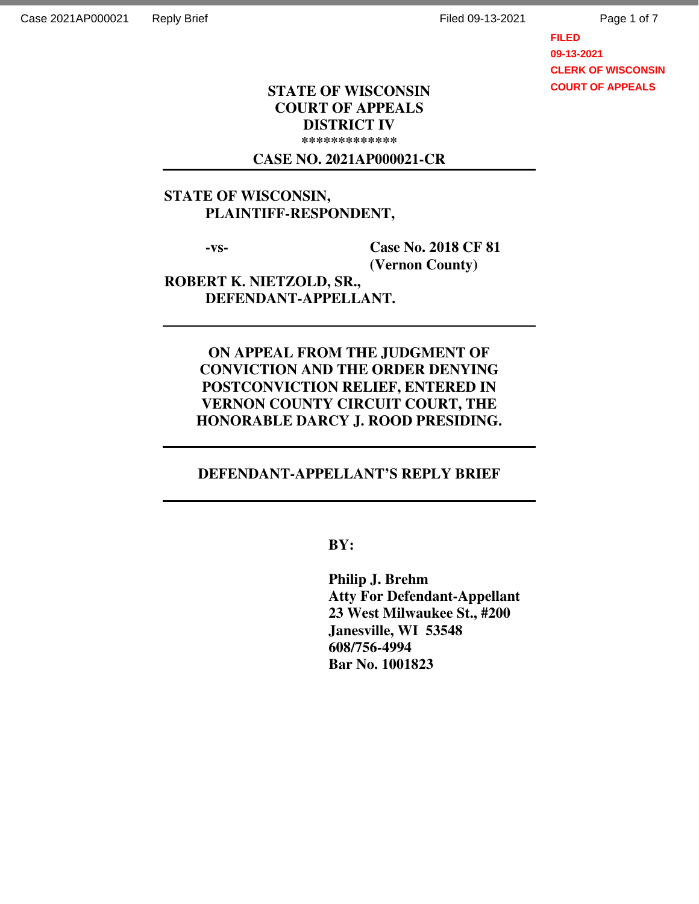Page 1 of 7

**FILED 09-13-2021 CLERK OF WISCONSIN COURT OF APPEALS**

## **STATE OF WISCONSIN COURT OF APPEALS DISTRICT IV \*\*\*\*\*\*\*\*\*\*\*\*\***

## **CASE NO. 2021AP000021-CR**

# **STATE OF WISCONSIN, PLAINTIFF-RESPONDENT,**

 **-vs- Case No. 2018 CF 81 (Vernon County)** 

**ROBERT K. NIETZOLD, SR., DEFENDANT-APPELLANT.** 

> **ON APPEAL FROM THE JUDGMENT OF CONVICTION AND THE ORDER DENYING POSTCONVICTION RELIEF, ENTERED IN VERNON COUNTY CIRCUIT COURT, THE HONORABLE DARCY J. ROOD PRESIDING.**

## **DEFENDANT-APPELLANT'S REPLY BRIEF**

 **BY:** 

 **Philip J. Brehm Atty For Defendant-Appellant 23 West Milwaukee St., #200 Janesville, WI 53548 608/756-4994 Bar No. 1001823**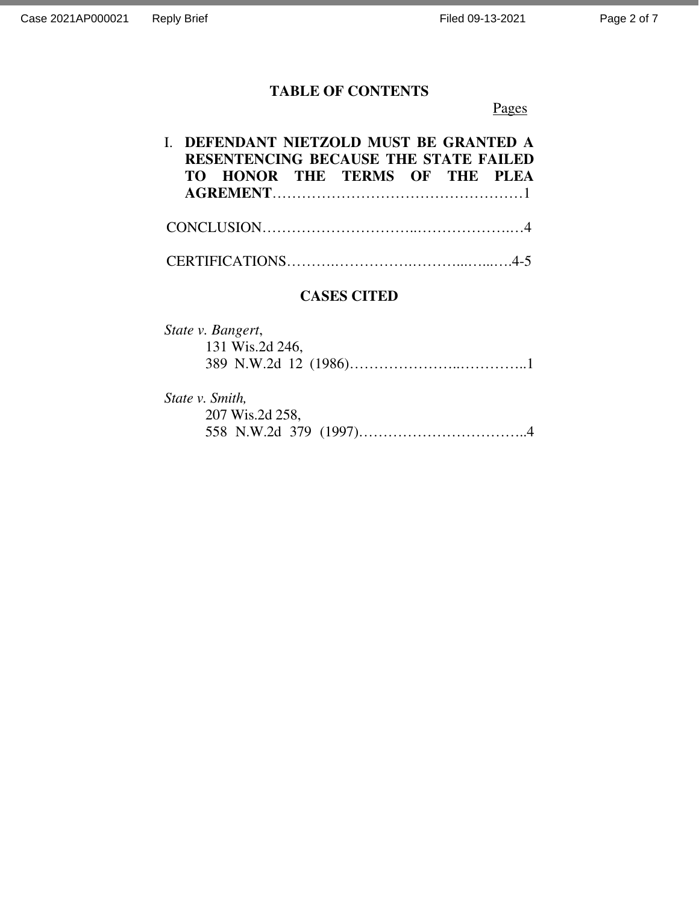# **TABLE OF CONTENTS**

# Pages

|  |  | I. DEFENDANT NIETZOLD MUST BE GRANTED A      |  |  |
|--|--|----------------------------------------------|--|--|
|  |  | <b>RESENTENCING BECAUSE THE STATE FAILED</b> |  |  |
|  |  | TO HONOR THE TERMS OF THE PLEA               |  |  |
|  |  |                                              |  |  |
|  |  |                                              |  |  |
|  |  |                                              |  |  |

# **CASES CITED**

| State v. Bangert, |  |
|-------------------|--|
| 131 Wis.2d 246,   |  |
|                   |  |

*State v. Smith,*  207 Wis.2d 258, 558 N.W.2d 379 (1997)……………………………..4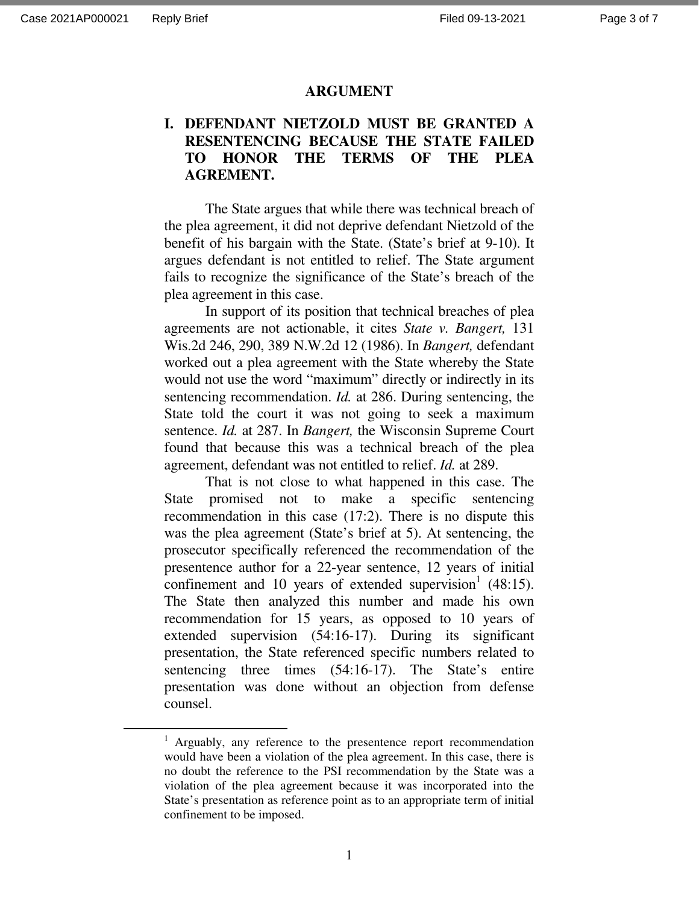-

#### **ARGUMENT**

## **I. DEFENDANT NIETZOLD MUST BE GRANTED A RESENTENCING BECAUSE THE STATE FAILED TO HONOR THE TERMS OF THE PLEA AGREMENT.**

 The State argues that while there was technical breach of the plea agreement, it did not deprive defendant Nietzold of the benefit of his bargain with the State. (State's brief at 9-10). It argues defendant is not entitled to relief. The State argument fails to recognize the significance of the State's breach of the plea agreement in this case.

 In support of its position that technical breaches of plea agreements are not actionable, it cites *State v. Bangert,* 131 Wis.2d 246, 290, 389 N.W.2d 12 (1986). In *Bangert,* defendant worked out a plea agreement with the State whereby the State would not use the word "maximum" directly or indirectly in its sentencing recommendation. *Id.* at 286. During sentencing, the State told the court it was not going to seek a maximum sentence. *Id.* at 287. In *Bangert,* the Wisconsin Supreme Court found that because this was a technical breach of the plea agreement, defendant was not entitled to relief. *Id.* at 289.

 That is not close to what happened in this case. The State promised not to make a specific sentencing recommendation in this case (17:2). There is no dispute this was the plea agreement (State's brief at 5). At sentencing, the prosecutor specifically referenced the recommendation of the presentence author for a 22-year sentence, 12 years of initial confinement and 10 years of extended supervision<sup>1</sup> (48:15). The State then analyzed this number and made his own recommendation for 15 years, as opposed to 10 years of extended supervision (54:16-17). During its significant presentation, the State referenced specific numbers related to sentencing three times (54:16-17). The State's entire presentation was done without an objection from defense counsel.

<sup>&</sup>lt;sup>1</sup> Arguably, any reference to the presentence report recommendation would have been a violation of the plea agreement. In this case, there is no doubt the reference to the PSI recommendation by the State was a violation of the plea agreement because it was incorporated into the State's presentation as reference point as to an appropriate term of initial confinement to be imposed.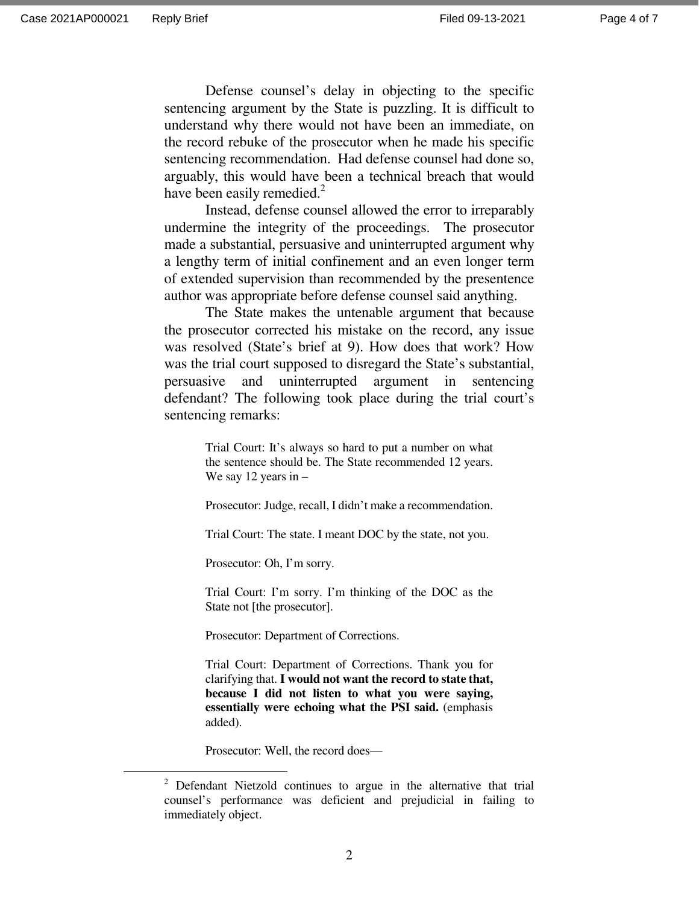-

 Defense counsel's delay in objecting to the specific sentencing argument by the State is puzzling. It is difficult to understand why there would not have been an immediate, on the record rebuke of the prosecutor when he made his specific sentencing recommendation. Had defense counsel had done so, arguably, this would have been a technical breach that would have been easily remedied.<sup>2</sup>

 Instead, defense counsel allowed the error to irreparably undermine the integrity of the proceedings. The prosecutor made a substantial, persuasive and uninterrupted argument why a lengthy term of initial confinement and an even longer term of extended supervision than recommended by the presentence author was appropriate before defense counsel said anything.

 The State makes the untenable argument that because the prosecutor corrected his mistake on the record, any issue was resolved (State's brief at 9). How does that work? How was the trial court supposed to disregard the State's substantial, persuasive and uninterrupted argument in sentencing defendant? The following took place during the trial court's sentencing remarks:

> Trial Court: It's always so hard to put a number on what the sentence should be. The State recommended 12 years. We say 12 years in –

> Prosecutor: Judge, recall, I didn't make a recommendation.

Trial Court: The state. I meant DOC by the state, not you.

Prosecutor: Oh, I'm sorry.

Trial Court: I'm sorry. I'm thinking of the DOC as the State not [the prosecutor].

Prosecutor: Department of Corrections.

Trial Court: Department of Corrections. Thank you for clarifying that. **I would not want the record to state that, because I did not listen to what you were saying, essentially were echoing what the PSI said.** (emphasis added).

Prosecutor: Well, the record does—

<sup>&</sup>lt;sup>2</sup> Defendant Nietzold continues to argue in the alternative that trial counsel's performance was deficient and prejudicial in failing to immediately object.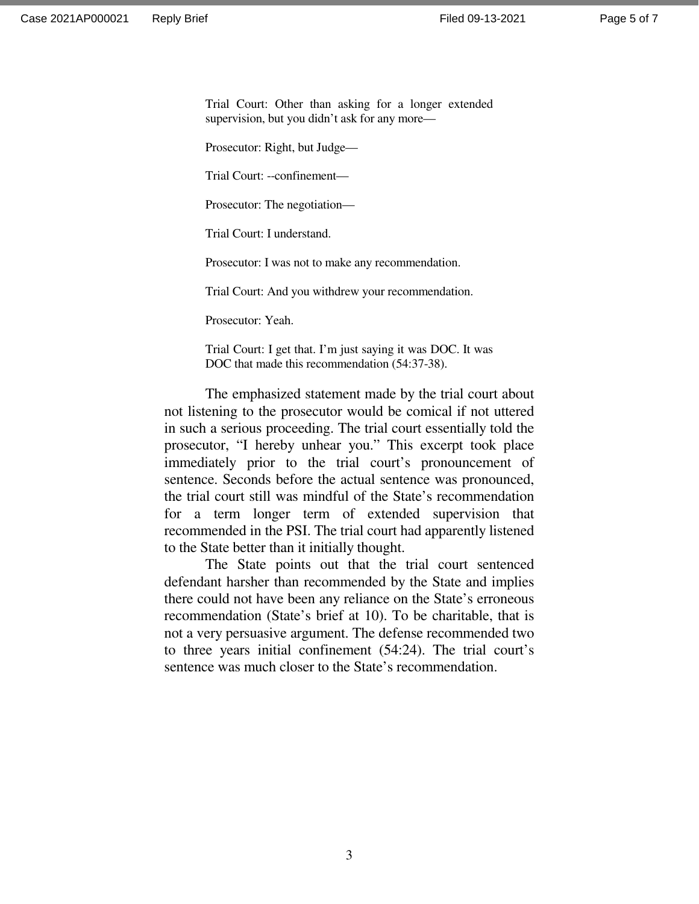Trial Court: Other than asking for a longer extended supervision, but you didn't ask for any more—

Prosecutor: Right, but Judge—

Trial Court: --confinement—

Prosecutor: The negotiation—

Trial Court: I understand.

Prosecutor: I was not to make any recommendation.

Trial Court: And you withdrew your recommendation.

Prosecutor: Yeah.

Trial Court: I get that. I'm just saying it was DOC. It was DOC that made this recommendation (54:37-38).

 The emphasized statement made by the trial court about not listening to the prosecutor would be comical if not uttered in such a serious proceeding. The trial court essentially told the prosecutor, "I hereby unhear you." This excerpt took place immediately prior to the trial court's pronouncement of sentence. Seconds before the actual sentence was pronounced, the trial court still was mindful of the State's recommendation for a term longer term of extended supervision that recommended in the PSI. The trial court had apparently listened to the State better than it initially thought.

 The State points out that the trial court sentenced defendant harsher than recommended by the State and implies there could not have been any reliance on the State's erroneous recommendation (State's brief at 10). To be charitable, that is not a very persuasive argument. The defense recommended two to three years initial confinement (54:24). The trial court's sentence was much closer to the State's recommendation.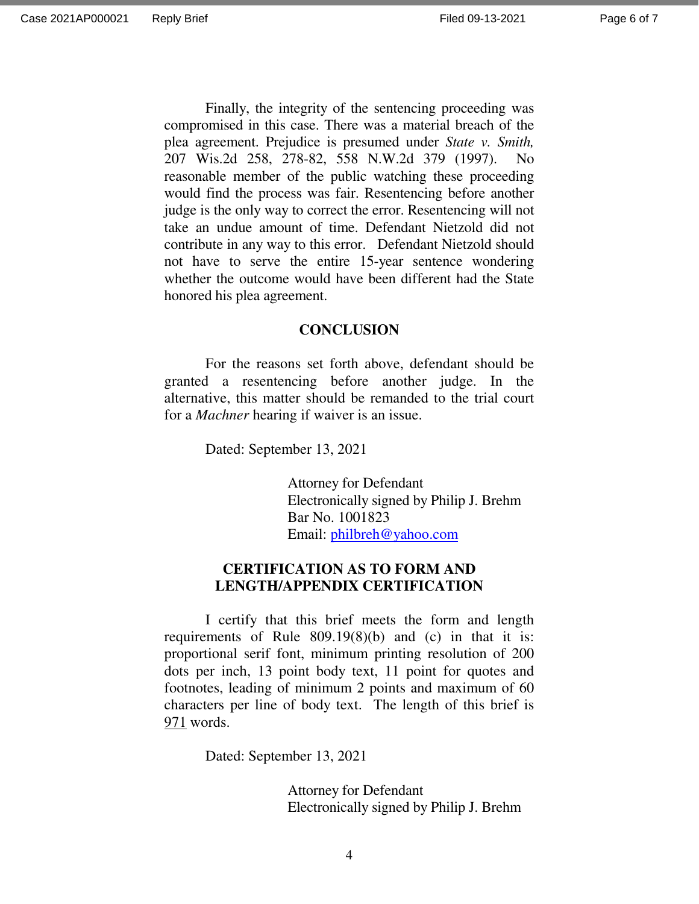Page 6 of 7

 Finally, the integrity of the sentencing proceeding was compromised in this case. There was a material breach of the plea agreement. Prejudice is presumed under *State v. Smith,*  207 Wis.2d 258, 278-82, 558 N.W.2d 379 (1997). No reasonable member of the public watching these proceeding would find the process was fair. Resentencing before another judge is the only way to correct the error. Resentencing will not take an undue amount of time. Defendant Nietzold did not contribute in any way to this error. Defendant Nietzold should not have to serve the entire 15-year sentence wondering whether the outcome would have been different had the State honored his plea agreement.

#### **CONCLUSION**

For the reasons set forth above, defendant should be granted a resentencing before another judge. In the alternative, this matter should be remanded to the trial court for a *Machner* hearing if waiver is an issue.

Dated: September 13, 2021

 Attorney for Defendant Electronically signed by Philip J. Brehm Bar No. 1001823 Email: philbreh@yahoo.com

## **CERTIFICATION AS TO FORM AND LENGTH/APPENDIX CERTIFICATION**

I certify that this brief meets the form and length requirements of Rule 809.19(8)(b) and (c) in that it is: proportional serif font, minimum printing resolution of 200 dots per inch, 13 point body text, 11 point for quotes and footnotes, leading of minimum 2 points and maximum of 60 characters per line of body text. The length of this brief is 971 words.

Dated: September 13, 2021

 Attorney for Defendant Electronically signed by Philip J. Brehm